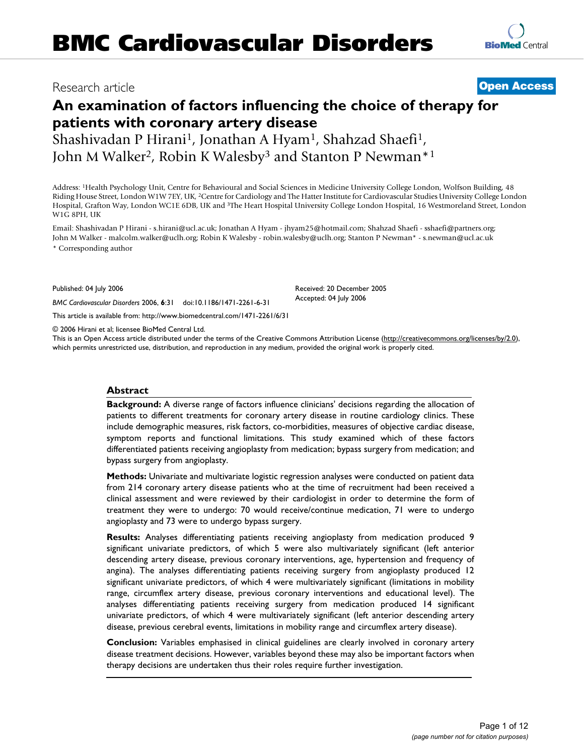## Research article **[Open Access](http://www.biomedcentral.com/info/about/charter/)**

# **An examination of factors influencing the choice of therapy for patients with coronary artery disease**

Shashivadan P Hirani<sup>1</sup>, Jonathan A Hyam<sup>1</sup>, Shahzad Shaefi<sup>1</sup>, John M Walker<sup>2</sup>, Robin K Walesby<sup>3</sup> and Stanton P Newman<sup>\*1</sup>

Address: 1Health Psychology Unit, Centre for Behavioural and Social Sciences in Medicine University College London, Wolfson Building, 48 Riding House Street, London W1W 7EY, UK, 2Centre for Cardiology and The Hatter Institute for Cardiovascular Studies University College London Hospital, Grafton Way, London WC1E 6DB, UK and 3The Heart Hospital University College London Hospital, 16 Westmoreland Street, London W1G 8PH, UK

Email: Shashivadan P Hirani - s.hirani@ucl.ac.uk; Jonathan A Hyam - jhyam25@hotmail.com; Shahzad Shaefi - sshaefi@partners.org; John M Walker - malcolm.walker@uclh.org; Robin K Walesby - robin.walesby@uclh.org; Stanton P Newman\* - s.newman@ucl.ac.uk \* Corresponding author

Published: 04 July 2006

*BMC Cardiovascular Disorders* 2006, **6**:31 doi:10.1186/1471-2261-6-31

[This article is available from: http://www.biomedcentral.com/1471-2261/6/31](http://www.biomedcentral.com/1471-2261/6/31)

© 2006 Hirani et al; licensee BioMed Central Ltd.

This is an Open Access article distributed under the terms of the Creative Commons Attribution License [\(http://creativecommons.org/licenses/by/2.0\)](http://creativecommons.org/licenses/by/2.0), which permits unrestricted use, distribution, and reproduction in any medium, provided the original work is properly cited.

#### **Abstract**

**Background:** A diverse range of factors influence clinicians' decisions regarding the allocation of patients to different treatments for coronary artery disease in routine cardiology clinics. These include demographic measures, risk factors, co-morbidities, measures of objective cardiac disease, symptom reports and functional limitations. This study examined which of these factors differentiated patients receiving angioplasty from medication; bypass surgery from medication; and bypass surgery from angioplasty.

**Methods:** Univariate and multivariate logistic regression analyses were conducted on patient data from 214 coronary artery disease patients who at the time of recruitment had been received a clinical assessment and were reviewed by their cardiologist in order to determine the form of treatment they were to undergo: 70 would receive/continue medication, 71 were to undergo angioplasty and 73 were to undergo bypass surgery.

**Results:** Analyses differentiating patients receiving angioplasty from medication produced 9 significant univariate predictors, of which 5 were also multivariately significant (left anterior descending artery disease, previous coronary interventions, age, hypertension and frequency of angina). The analyses differentiating patients receiving surgery from angioplasty produced 12 significant univariate predictors, of which 4 were multivariately significant (limitations in mobility range, circumflex artery disease, previous coronary interventions and educational level). The analyses differentiating patients receiving surgery from medication produced 14 significant univariate predictors, of which 4 were multivariately significant (left anterior descending artery disease, previous cerebral events, limitations in mobility range and circumflex artery disease).

**Conclusion:** Variables emphasised in clinical guidelines are clearly involved in coronary artery disease treatment decisions. However, variables beyond these may also be important factors when therapy decisions are undertaken thus their roles require further investigation.

Received: 20 December 2005 Accepted: 04 July 2006

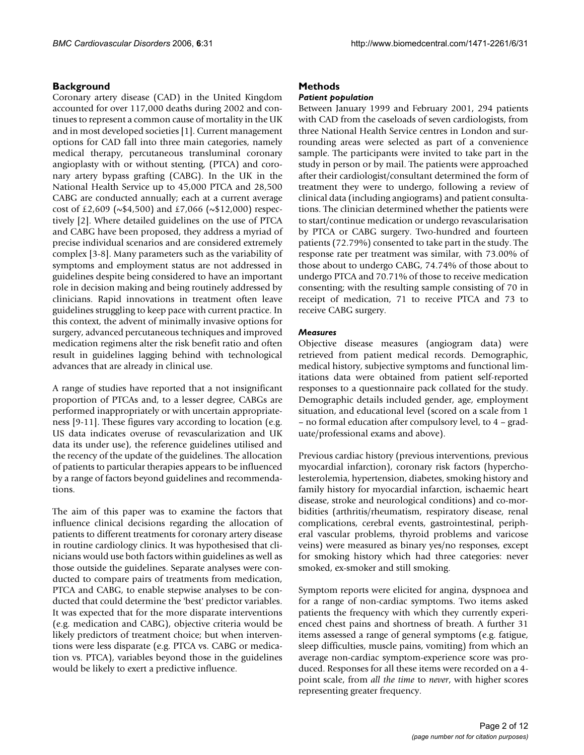## **Background**

Coronary artery disease (CAD) in the United Kingdom accounted for over 117,000 deaths during 2002 and continues to represent a common cause of mortality in the UK and in most developed societies [1]. Current management options for CAD fall into three main categories, namely medical therapy, percutaneous transluminal coronary angioplasty with or without stenting, (PTCA) and coronary artery bypass grafting (CABG). In the UK in the National Health Service up to 45,000 PTCA and 28,500 CABG are conducted annually; each at a current average cost of £2,609 ( $\sim$ \$4,500) and £7,066 ( $\sim$ \$12,000) respectively [2]. Where detailed guidelines on the use of PTCA and CABG have been proposed, they address a myriad of precise individual scenarios and are considered extremely complex [3-8]. Many parameters such as the variability of symptoms and employment status are not addressed in guidelines despite being considered to have an important role in decision making and being routinely addressed by clinicians. Rapid innovations in treatment often leave guidelines struggling to keep pace with current practice. In this context, the advent of minimally invasive options for surgery, advanced percutaneous techniques and improved medication regimens alter the risk benefit ratio and often result in guidelines lagging behind with technological advances that are already in clinical use.

A range of studies have reported that a not insignificant proportion of PTCAs and, to a lesser degree, CABGs are performed inappropriately or with uncertain appropriateness [9-11]. These figures vary according to location (e.g. US data indicates overuse of revascularization and UK data its under use), the reference guidelines utilised and the recency of the update of the guidelines. The allocation of patients to particular therapies appears to be influenced by a range of factors beyond guidelines and recommendations.

The aim of this paper was to examine the factors that influence clinical decisions regarding the allocation of patients to different treatments for coronary artery disease in routine cardiology clinics. It was hypothesised that clinicians would use both factors within guidelines as well as those outside the guidelines. Separate analyses were conducted to compare pairs of treatments from medication, PTCA and CABG, to enable stepwise analyses to be conducted that could determine the 'best' predictor variables. It was expected that for the more disparate interventions (e.g. medication and CABG), objective criteria would be likely predictors of treatment choice; but when interventions were less disparate (e.g. PTCA vs. CABG or medication vs. PTCA), variables beyond those in the guidelines would be likely to exert a predictive influence.

## **Methods**

#### *Patient population*

Between January 1999 and February 2001, 294 patients with CAD from the caseloads of seven cardiologists, from three National Health Service centres in London and surrounding areas were selected as part of a convenience sample. The participants were invited to take part in the study in person or by mail. The patients were approached after their cardiologist/consultant determined the form of treatment they were to undergo, following a review of clinical data (including angiograms) and patient consultations. The clinician determined whether the patients were to start/continue medication or undergo revascularisation by PTCA or CABG surgery. Two-hundred and fourteen patients (72.79%) consented to take part in the study. The response rate per treatment was similar, with 73.00% of those about to undergo CABG, 74.74% of those about to undergo PTCA and 70.71% of those to receive medication consenting; with the resulting sample consisting of 70 in receipt of medication, 71 to receive PTCA and 73 to receive CABG surgery.

#### *Measures*

Objective disease measures (angiogram data) were retrieved from patient medical records. Demographic, medical history, subjective symptoms and functional limitations data were obtained from patient self-reported responses to a questionnaire pack collated for the study. Demographic details included gender, age, employment situation, and educational level (scored on a scale from 1 – no formal education after compulsory level, to 4 – graduate/professional exams and above).

Previous cardiac history (previous interventions, previous myocardial infarction), coronary risk factors (hypercholesterolemia, hypertension, diabetes, smoking history and family history for myocardial infarction, ischaemic heart disease, stroke and neurological conditions) and co-morbidities (arthritis/rheumatism, respiratory disease, renal complications, cerebral events, gastrointestinal, peripheral vascular problems, thyroid problems and varicose veins) were measured as binary yes/no responses, except for smoking history which had three categories: never smoked, ex-smoker and still smoking.

Symptom reports were elicited for angina, dyspnoea and for a range of non-cardiac symptoms. Two items asked patients the frequency with which they currently experienced chest pains and shortness of breath. A further 31 items assessed a range of general symptoms (e.g. fatigue, sleep difficulties, muscle pains, vomiting) from which an average non-cardiac symptom-experience score was produced. Responses for all these items were recorded on a 4 point scale, from *all the time* to *never*, with higher scores representing greater frequency.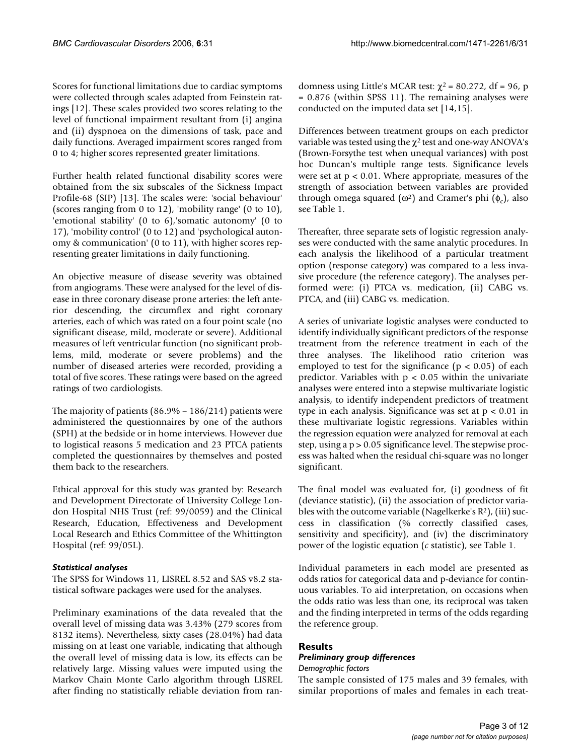Scores for functional limitations due to cardiac symptoms were collected through scales adapted from Feinstein ratings [12]. These scales provided two scores relating to the level of functional impairment resultant from (i) angina and (ii) dyspnoea on the dimensions of task, pace and daily functions. Averaged impairment scores ranged from 0 to 4; higher scores represented greater limitations.

Further health related functional disability scores were obtained from the six subscales of the Sickness Impact Profile-68 (SIP) [13]. The scales were: 'social behaviour' (scores ranging from 0 to 12), 'mobility range' (0 to 10), 'emotional stability' (0 to 6),'somatic autonomy' (0 to 17), 'mobility control' (0 to 12) and 'psychological autonomy & communication' (0 to 11), with higher scores representing greater limitations in daily functioning.

An objective measure of disease severity was obtained from angiograms. These were analysed for the level of disease in three coronary disease prone arteries: the left anterior descending, the circumflex and right coronary arteries, each of which was rated on a four point scale (no significant disease, mild, moderate or severe). Additional measures of left ventricular function (no significant problems, mild, moderate or severe problems) and the number of diseased arteries were recorded, providing a total of five scores. These ratings were based on the agreed ratings of two cardiologists.

The majority of patients (86.9% – 186/214) patients were administered the questionnaires by one of the authors (SPH) at the bedside or in home interviews. However due to logistical reasons 5 medication and 23 PTCA patients completed the questionnaires by themselves and posted them back to the researchers.

Ethical approval for this study was granted by: Research and Development Directorate of University College London Hospital NHS Trust (ref: 99/0059) and the Clinical Research, Education, Effectiveness and Development Local Research and Ethics Committee of the Whittington Hospital (ref: 99/05L).

## *Statistical analyses*

The SPSS for Windows 11, LISREL 8.52 and SAS v8.2 statistical software packages were used for the analyses.

Preliminary examinations of the data revealed that the overall level of missing data was 3.43% (279 scores from 8132 items). Nevertheless, sixty cases (28.04%) had data missing on at least one variable, indicating that although the overall level of missing data is low, its effects can be relatively large. Missing values were imputed using the Markov Chain Monte Carlo algorithm through LISREL after finding no statistically reliable deviation from randomness using Little's MCAR test:  $χ² = 80.272$ , df = 96, p = 0.876 (within SPSS 11). The remaining analyses were conducted on the imputed data set [14,15].

Differences between treatment groups on each predictor variable was tested using the  $\chi^2$  test and one-way ANOVA's (Brown-Forsythe test when unequal variances) with post hoc Duncan's multiple range tests. Significance levels were set at  $p < 0.01$ . Where appropriate, measures of the strength of association between variables are provided through omega squared ( $\omega^2$ ) and Cramer's phi ( $\phi_c$ ), also see Table 1.

Thereafter, three separate sets of logistic regression analyses were conducted with the same analytic procedures. In each analysis the likelihood of a particular treatment option (response category) was compared to a less invasive procedure (the reference category). The analyses performed were: (i) PTCA vs. medication, (ii) CABG vs. PTCA, and (iii) CABG vs. medication.

A series of univariate logistic analyses were conducted to identify individually significant predictors of the response treatment from the reference treatment in each of the three analyses. The likelihood ratio criterion was employed to test for the significance ( $p < 0.05$ ) of each predictor. Variables with  $p < 0.05$  within the univariate analyses were entered into a stepwise multivariate logistic analysis, to identify independent predictors of treatment type in each analysis. Significance was set at p < 0.01 in these multivariate logistic regressions. Variables within the regression equation were analyzed for removal at each step, using a p > 0.05 significance level. The stepwise process was halted when the residual chi-square was no longer significant.

The final model was evaluated for, (i) goodness of fit (deviance statistic), (ii) the association of predictor variables with the outcome variable (Nagelkerke's  $R^2$ ), (iii) success in classification (% correctly classified cases, sensitivity and specificity), and (iv) the discriminatory power of the logistic equation (*c* statistic), see Table 1.

Individual parameters in each model are presented as odds ratios for categorical data and p-deviance for continuous variables. To aid interpretation, on occasions when the odds ratio was less than one, its reciprocal was taken and the finding interpreted in terms of the odds regarding the reference group.

## **Results**

## *Preliminary group differences*

*Demographic factors*

The sample consisted of 175 males and 39 females, with similar proportions of males and females in each treat-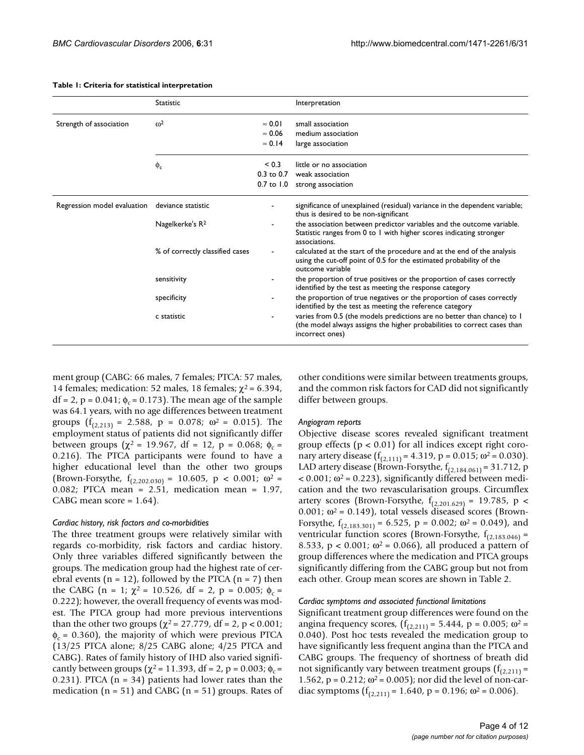|                             | <b>Statistic</b>                |                | Interpretation                                                                                                                                                         |  |  |  |
|-----------------------------|---------------------------------|----------------|------------------------------------------------------------------------------------------------------------------------------------------------------------------------|--|--|--|
| Strength of association     | $\omega^2$<br>$\approx 0.01$    |                | small association                                                                                                                                                      |  |  |  |
|                             |                                 | $\approx 0.06$ | medium association                                                                                                                                                     |  |  |  |
|                             |                                 | $\approx 0.14$ | large association                                                                                                                                                      |  |  |  |
|                             | $\phi_c$                        | ${}_{0.3}$     | little or no association                                                                                                                                               |  |  |  |
|                             |                                 | $0.3$ to $0.7$ | weak association                                                                                                                                                       |  |  |  |
|                             |                                 |                | 0.7 to 1.0 strong association                                                                                                                                          |  |  |  |
| Regression model evaluation | deviance statistic              |                | significance of unexplained (residual) variance in the dependent variable;<br>thus is desired to be non-significant                                                    |  |  |  |
|                             | Nagelkerke's R <sup>2</sup>     |                | the association between predictor variables and the outcome variable.<br>Statistic ranges from 0 to 1 with higher scores indicating stronger<br>associations.          |  |  |  |
|                             | % of correctly classified cases |                | calculated at the start of the procedure and at the end of the analysis<br>using the cut-off point of 0.5 for the estimated probability of the<br>outcome variable     |  |  |  |
|                             | sensitivity                     |                | the proportion of true positives or the proportion of cases correctly<br>identified by the test as meeting the response category                                       |  |  |  |
|                             | specificity                     |                | the proportion of true negatives or the proportion of cases correctly<br>identified by the test as meeting the reference category                                      |  |  |  |
|                             | c statistic                     |                | varies from 0.5 (the models predictions are no better than chance) to 1<br>(the model always assigns the higher probabilities to correct cases than<br>incorrect ones) |  |  |  |

#### **Table 1: Criteria for statistical interpretation**

ment group (CABG: 66 males, 7 females; PTCA: 57 males, 14 females; medication: 52 males, 18 females;  $\chi^2$  = 6.394,  $df = 2$ , p = 0.041; φ<sub>c</sub> = 0.173). The mean age of the sample was 64.1 years, with no age differences between treatment groups  $(f_{(2,213)} = 2.588, p = 0.078; \omega^2 = 0.015)$ . The employment status of patients did not significantly differ between groups ( $\chi^2$  = 19.967, df = 12, p = 0.068; φ<sub>c</sub> = 0.216). The PTCA participants were found to have a higher educational level than the other two groups (Brown-Forsythe,  $f_{(2,202.030)} = 10.605$ ,  $p < 0.001$ ;  $\omega^2 =$ 0.082; PTCA mean = 2.51, medication mean = 1.97, CABG mean score  $= 1.64$ ).

#### *Cardiac history, risk factors and co-morbidities*

The three treatment groups were relatively similar with regards co-morbidity, risk factors and cardiac history. Only three variables differed significantly between the groups. The medication group had the highest rate of cerebral events ( $n = 12$ ), followed by the PTCA ( $n = 7$ ) then the CABG (n = 1;  $\chi^2$  = 10.526, df = 2, p = 0.005;  $\phi_c$  = 0.222); however, the overall frequency of events was modest. The PTCA group had more previous interventions than the other two groups ( $χ² = 27.779$ , df = 2, p < 0.001;  $\phi_c$  = 0.360), the majority of which were previous PTCA (13/25 PTCA alone; 8/25 CABG alone; 4/25 PTCA and CABG). Rates of family history of IHD also varied significantly between groups ( $\chi^2$  = 11.393, df = 2, p = 0.003;  $\phi_c$  = 0.231). PTCA  $(n = 34)$  patients had lower rates than the medication ( $n = 51$ ) and CABG ( $n = 51$ ) groups. Rates of other conditions were similar between treatments groups, and the common risk factors for CAD did not significantly differ between groups.

#### *Angiogram reports*

Objective disease scores revealed significant treatment group effects ( $p < 0.01$ ) for all indices except right coronary artery disease  $(f_{(2,111)} = 4.319, p = 0.015; \omega^2 = 0.030)$ . LAD artery disease (Brown-Forsythe,  $f_{(2,184.061)} = 31.712$ , p  $<$  0.001;  $\omega$ <sup>2</sup> = 0.223), significantly differed between medication and the two revascularisation groups. Circumflex artery scores (Brown-Forsythe,  $f_{(2,201.629)} = 19.785$ , p < 0.001;  $\omega^2$  = 0.149), total vessels diseased scores (Brown-Forsythe,  $f_{(2,183.301)} = 6.525$ ,  $p = 0.002$ ;  $\omega^2 = 0.049$ ), and ventricular function scores (Brown-Forsythe,  $f_{(2,183,046)}$  = 8.533, p < 0.001;  $\omega^2$  = 0.066), all produced a pattern of group differences where the medication and PTCA groups significantly differing from the CABG group but not from each other. Group mean scores are shown in Table 2.

#### *Cardiac symptoms and associated functional limitations*

Significant treatment group differences were found on the angina frequency scores,  $(f_{(2,211)} = 5.444$ , p = 0.005; ω<sup>2</sup> = 0.040). Post hoc tests revealed the medication group to have significantly less frequent angina than the PTCA and CABG groups. The frequency of shortness of breath did not significantly vary between treatment groups  $(f_{(2,211)} =$ 1.562, p = 0.212; ω<sup>2</sup> = 0.005); nor did the level of non-cardiac symptoms  $(f_{(2,211)} = 1.640, p = 0.196; \omega^2 = 0.006)$ .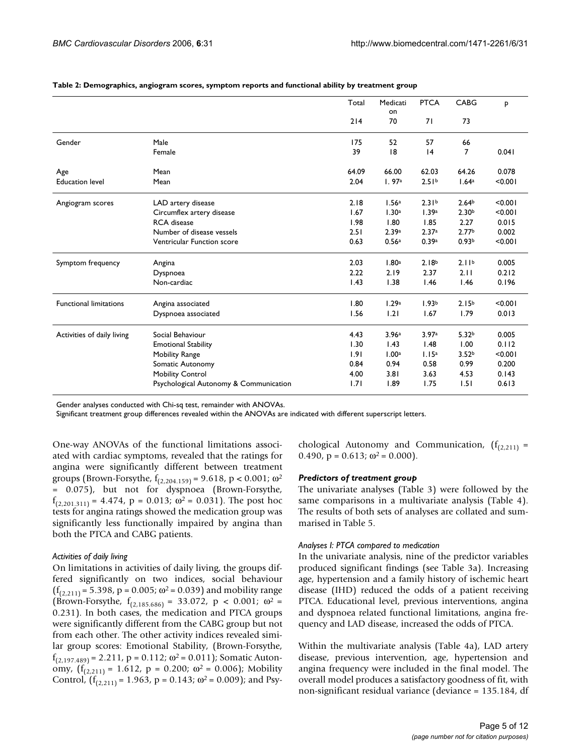|                               |                                        | Total | Medicati          | <b>PTCA</b>       | CABG              | P       |
|-------------------------------|----------------------------------------|-------|-------------------|-------------------|-------------------|---------|
|                               |                                        |       | on                |                   |                   |         |
|                               |                                        | 214   | 70                | 71                | 73                |         |
| Gender                        | Male                                   | 175   | 52                | 57                | 66                |         |
|                               | Female                                 | 39    | 8                 | 4                 | 7                 | 0.041   |
| Age                           | Mean                                   | 64.09 | 66.00             | 62.03             | 64.26             | 0.078   |
| <b>Education level</b>        | Mean                                   | 2.04  | 1.97a             | 2.51 <sup>b</sup> | 1.64a             | < 0.001 |
| Angiogram scores              | LAD artery disease                     | 2.18  | 1.56a             | 2.31 <sup>b</sup> | 2.64 <sup>b</sup> | < 0.001 |
|                               | Circumflex artery disease              | 1.67  | 1.30 <sup>a</sup> | 1.39a             | 2.30 <sup>b</sup> | < 0.001 |
|                               | <b>RCA</b> disease                     | 1.98  | 1.80              | 1.85              | 2.27              | 0.015   |
|                               | Number of disease vessels              | 2.51  | 2.39a             | 2.37a             | 2.77 <sup>b</sup> | 0.002   |
|                               | Ventricular Function score             | 0.63  | 0.56a             | 0.39a             | 0.93 <sup>b</sup> | < 0.001 |
| Symptom frequency             | Angina                                 | 2.03  | 1.80a             | 2.18 <sup>b</sup> | 2.11 <sup>b</sup> | 0.005   |
|                               | Dyspnoea                               | 2.22  | 2.19              | 2.37              | 2.11              | 0.212   |
|                               | Non-cardiac                            | 1.43  | 1.38              | 1.46              | 1.46              | 0.196   |
| <b>Functional limitations</b> | Angina associated                      | 1.80  | 1.29a             | 1.93 <sub>b</sub> | 2.15 <sup>b</sup> | < 0.001 |
|                               | Dyspnoea associated                    | 1.56  | 1.21              | 1.67              | 1.79              | 0.013   |
| Activities of daily living    | Social Behaviour                       | 4.43  | 3.96 <sup>a</sup> | 3.97a             | 5.32 <sup>b</sup> | 0.005   |
|                               | <b>Emotional Stability</b>             | 1.30  | 1.43              | 1.48              | 1.00              | 0.112   |
|                               | Mobility Range                         | 1.91  | 1.00 <sup>a</sup> | 1.15 <sup>a</sup> | 3.52 <sup>b</sup> | < 0.001 |
|                               | Somatic Autonomy                       | 0.84  | 0.94              | 0.58              | 0.99              | 0.200   |
|                               | <b>Mobility Control</b>                | 4.00  | 3.81              | 3.63              | 4.53              | 0.143   |
|                               | Psychological Autonomy & Communication | 1.71  | 1.89              | 1.75              | 1.51              | 0.613   |

**Table 2: Demographics, angiogram scores, symptom reports and functional ability by treatment group**

Gender analyses conducted with Chi-sq test, remainder with ANOVAs.

Significant treatment group differences revealed within the ANOVAs are indicated with different superscript letters.

One-way ANOVAs of the functional limitations associated with cardiac symptoms, revealed that the ratings for angina were significantly different between treatment groups (Brown-Forsythe,  $f_{(2,204.159)} = 9.618$ , p < 0.001;  $\omega^2$ = 0.075), but not for dyspnoea (Brown-Forsythe,  $f_{(2,201.311)} = 4.474$ ,  $p = 0.013$ ;  $\omega^2 = 0.031$ ). The post hoc tests for angina ratings showed the medication group was significantly less functionally impaired by angina than both the PTCA and CABG patients.

#### *Activities of daily living*

On limitations in activities of daily living, the groups differed significantly on two indices, social behaviour  $(f_{(2,211)} = 5.398, p = 0.005; \omega^2 = 0.039)$  and mobility range (Brown-Forsythe,  $f_{(2,185.686)} = 33.072$ ,  $p < 0.001$ ;  $\omega^2 =$ 0.231). In both cases, the medication and PTCA groups were significantly different from the CABG group but not from each other. The other activity indices revealed similar group scores: Emotional Stability, (Brown-Forsythe,  $f_{(2,197.489)} = 2.211$ , p = 0.112; ω<sup>2</sup> = 0.011); Somatic Autonomy,  $(f_{(2,211)} = 1.612$ ,  $p = 0.200$ ;  $\omega^2 = 0.006$ ); Mobility Control,  $(f_{(2,211)} = 1.963, p = 0.143; \omega^2 = 0.009)$ ; and Psychological Autonomy and Communication,  $(f_{(2,211)} =$ 0.490,  $p = 0.613$ ;  $\omega^2 = 0.000$ .

#### *Predictors of treatment group*

The univariate analyses (Table 3) were followed by the same comparisons in a multivariate analysis (Table 4). The results of both sets of analyses are collated and summarised in Table 5.

#### *Analyses I: PTCA compared to medication*

In the univariate analysis, nine of the predictor variables produced significant findings (see Table 3a). Increasing age, hypertension and a family history of ischemic heart disease (IHD) reduced the odds of a patient receiving PTCA. Educational level, previous interventions, angina and dyspnoea related functional limitations, angina frequency and LAD disease, increased the odds of PTCA.

Within the multivariate analysis (Table 4a), LAD artery disease, previous intervention, age, hypertension and angina frequency were included in the final model. The overall model produces a satisfactory goodness of fit, with non-significant residual variance (deviance = 135.184, df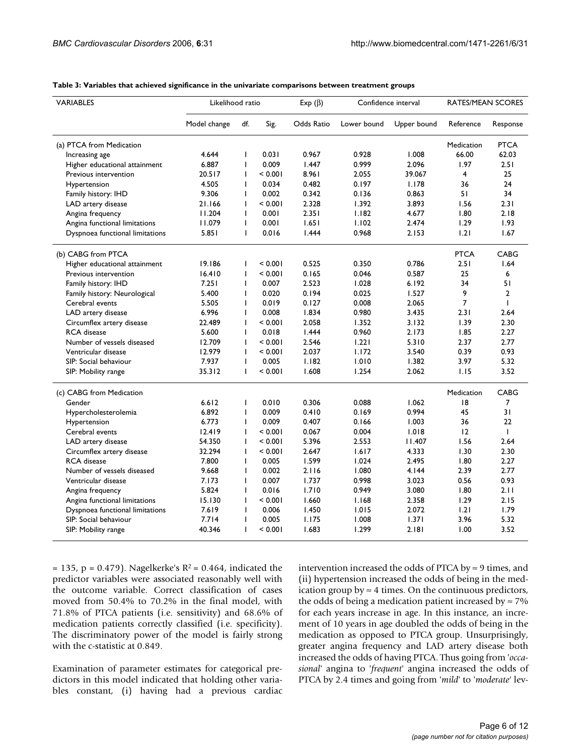| <b>VARIABLES</b>                | Likelihood ratio |                |         | Exp $(\beta)$ | Confidence interval |             | RATES/MEAN SCORES |                |
|---------------------------------|------------------|----------------|---------|---------------|---------------------|-------------|-------------------|----------------|
|                                 | Model change     | df.            | Sig.    | Odds Ratio    | Lower bound         | Upper bound | Reference         | Response       |
| (a) PTCA from Medication        |                  |                |         |               |                     |             | Medication        | <b>PTCA</b>    |
| Increasing age                  | 4.644            | T              | 0.031   | 0.967         | 0.928               | 1.008       | 66.00             | 62.03          |
| Higher educational attainment   | 6.887            | $\overline{1}$ | 0.009   | 1.447         | 0.999               | 2.096       | 1.97              | 2.51           |
| Previous intervention           | 20.517           | I.             | < 0.001 | 8.961         | 2.055               | 39.067      | 4                 | 25             |
| Hypertension                    | 4.505            | $\mathbf{I}$   | 0.034   | 0.482         | 0.197               | 1.178       | 36                | 24             |
| Family history: IHD             | 9.306            | T              | 0.002   | 0.342         | 0.136               | 0.863       | 51                | 34             |
| LAD artery disease              | 21.166           | T              | < 0.001 | 2.328         | 1.392               | 3.893       | 1.56              | 2.31           |
| Angina frequency                | 11.204           | $\mathbf{I}$   | 0.001   | 2.351         | 1.182               | 4.677       | 1.80              | 2.18           |
| Angina functional limitations   | 11.079           | T              | 0.001   | 1.651         | 1.102               | 2.474       | 1.29              | 1.93           |
| Dyspnoea functional limitations | 5.851            | $\mathsf{I}$   | 0.016   | 1.444         | 0.968               | 2.153       | 1.21              | 1.67           |
| (b) CABG from PTCA              |                  |                |         |               |                     |             | <b>PTCA</b>       | CABG           |
| Higher educational attainment   | 19.186           | T              | < 0.001 | 0.525         | 0.350               | 0.786       | 2.51              | 1.64           |
| Previous intervention           | 16.410           | I.             | < 0.001 | 0.165         | 0.046               | 0.587       | 25                | 6              |
| Family history: IHD             | 7.251            | T              | 0.007   | 2.523         | 1.028               | 6.192       | 34                | 51             |
| Family history: Neurological    | 5.400            | T              | 0.020   | 0.194         | 0.025               | 1.527       | 9                 | $\overline{2}$ |
| Cerebral events                 | 5.505            | $\mathsf{I}$   | 0.019   | 0.127         | 0.008               | 2.065       | $\overline{7}$    | T              |
| LAD artery disease              | 6.996            | T              | 0.008   | 1.834         | 0.980               | 3.435       | 2.31              | 2.64           |
| Circumflex artery disease       | 22.489           | $\mathsf{I}$   | < 0.001 | 2.058         | 1.352               | 3.132       | 1.39              | 2.30           |
| <b>RCA</b> disease              | 5.600            | T              | 0.018   | 1.444         | 0.960               | 2.173       | 1.85              | 2.27           |
| Number of vessels diseased      | 12.709           | I.             | < 0.001 | 2.546         | 1.221               | 5.310       | 2.37              | 2.77           |
| Ventricular disease             | 12.979           | $\mathbf{I}$   | < 0.001 | 2.037         | 1.172               | 3.540       | 0.39              | 0.93           |
| SIP: Social behaviour           | 7.937            | T              | 0.005   | 1.182         | 1.010               | 1.382       | 3.97              | 5.32           |
| SIP: Mobility range             | 35.312           | $\mathbf{I}$   | < 0.001 | 1.608         | 1.254               | 2.062       | 1.15              | 3.52           |
| (c) CABG from Medication        |                  |                |         |               |                     |             | Medication        | <b>CABG</b>    |
| Gender                          | 6.612            | $\mathsf{I}$   | 0.010   | 0.306         | 0.088               | 1.062       | 8                 | 7              |
| Hypercholesterolemia            | 6.892            | $\mathsf{I}$   | 0.009   | 0.410         | 0.169               | 0.994       | 45                | 31             |
| Hypertension                    | 6.773            | $\mathsf{I}$   | 0.009   | 0.407         | 0.166               | 1.003       | 36                | 22             |
| Cerebral events                 | 12.419           | T              | < 0.001 | 0.067         | 0.004               | 1.018       | 12                | $\mathbf{I}$   |
| LAD artery disease              | 54.350           | T              | < 0.001 | 5.396         | 2.553               | 11.407      | 1.56              | 2.64           |
| Circumflex artery disease       | 32.294           | I.             | < 0.001 | 2.647         | 1.617               | 4.333       | 1.30              | 2.30           |
| <b>RCA</b> disease              | 7.800            | T              | 0.005   | 1.599         | 1.024               | 2.495       | 1.80              | 2.27           |
| Number of vessels diseased      | 9.668            | $\mathsf{I}$   | 0.002   | 2.116         | 1.080               | 4.144       | 2.39              | 2.77           |
| Ventricular disease             | 7.173            | T              | 0.007   | 1.737         | 0.998               | 3.023       | 0.56              | 0.93           |
| Angina frequency                | 5.824            | $\mathsf{I}$   | 0.016   | 1.710         | 0.949               | 3.080       | 1.80              | 2.11           |
| Angina functional limitations   | 15.130           | $\mathsf{I}$   | < 0.001 | 1.660         | 1.168               | 2.358       | 1.29              | 2.15           |
| Dyspnoea functional limitations | 7.619            | T              | 0.006   | 1.450         | 1.015               | 2.072       | 1.21              | 1.79           |
| SIP: Social behaviour           | 7.714            | $\mathsf{I}$   | 0.005   | 1.175         | 1.008               | 1.371       | 3.96              | 5.32           |
| SIP: Mobility range             | 40.346           | $\mathbf{I}$   | < 0.001 | 1.683         | 1.299               | 2.181       | 1.00              | 3.52           |

#### **Table 3: Variables that achieved significance in the univariate comparisons between treatment groups**

 $= 135$ , p = 0.479). Nagelkerke's R<sup>2</sup> = 0.464, indicated the predictor variables were associated reasonably well with the outcome variable. Correct classification of cases moved from 50.4% to 70.2% in the final model, with 71.8% of PTCA patients (i.e. sensitivity) and 68.6% of medication patients correctly classified (i.e. specificity). The discriminatory power of the model is fairly strong with the c-statistic at 0.849.

Examination of parameter estimates for categorical predictors in this model indicated that holding other variables constant, (i) having had a previous cardiac intervention increased the odds of PTCA by  $\approx$  9 times, and (ii) hypertension increased the odds of being in the medication group by  $\approx$  4 times. On the continuous predictors, the odds of being a medication patient increased by  $\approx 7\%$ for each years increase in age. In this instance, an increment of 10 years in age doubled the odds of being in the medication as opposed to PTCA group. Unsurprisingly, greater angina frequency and LAD artery disease both increased the odds of having PTCA. Thus going from '*occasional*' angina to '*frequent*' angina increased the odds of PTCA by 2.4 times and going from '*mild*' to '*moderate*' lev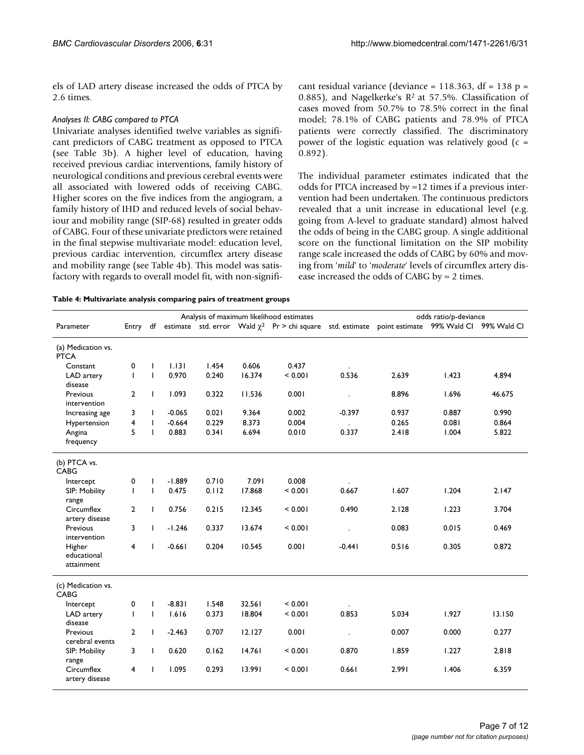els of LAD artery disease increased the odds of PTCA by 2.6 times.

## *Analyses II: CABG compared to PTCA*

Univariate analyses identified twelve variables as significant predictors of CABG treatment as opposed to PTCA (see Table 3b). A higher level of education, having received previous cardiac interventions, family history of neurological conditions and previous cerebral events were all associated with lowered odds of receiving CABG. Higher scores on the five indices from the angiogram, a family history of IHD and reduced levels of social behaviour and mobility range (SIP-68) resulted in greater odds of CABG. Four of these univariate predictors were retained in the final stepwise multivariate model: education level, previous cardiac intervention, circumflex artery disease and mobility range (see Table 4b). This model was satisfactory with regards to overall model fit, with non-significant residual variance (deviance = 118.363, df = 138 p = 0.885), and Nagelkerke's  $R^2$  at 57.5%. Classification of cases moved from 50.7% to 78.5% correct in the final model; 78.1% of CABG patients and 78.9% of PTCA patients were correctly classified. The discriminatory power of the logistic equation was relatively good  $(c =$ 0.892).

The individual parameter estimates indicated that the odds for PTCA increased by  $\approx$  12 times if a previous intervention had been undertaken. The continuous predictors revealed that a unit increase in educational level (e.g. going from A-level to graduate standard) almost halved the odds of being in the CABG group. A single additional score on the functional limitation on the SIP mobility range scale increased the odds of CABG by 60% and moving from '*mild*' to '*moderate*' levels of circumflex artery disease increased the odds of CABG by  $\approx$  2 times.

**Table 4: Multivariate analysis comparing pairs of treatment groups**

| Analysis of maximum likelihood estimates |                |              |          |       | odds ratio/p-deviance |                                                                                                        |                      |       |       |        |
|------------------------------------------|----------------|--------------|----------|-------|-----------------------|--------------------------------------------------------------------------------------------------------|----------------------|-------|-------|--------|
| Parameter                                | Entry df       |              |          |       |                       | estimate std. error Wald $\chi^2$ Pr > chi square std. estimate point estimate 99% Wald Cl 99% Wald Cl |                      |       |       |        |
| (a) Medication vs.<br><b>PTCA</b>        |                |              |          |       |                       |                                                                                                        |                      |       |       |        |
| Constant                                 | 0              | $\mathbf{I}$ | 1.131    | 1.454 | 0.606                 | 0.437                                                                                                  |                      |       |       |        |
| LAD artery<br>disease                    | $\mathsf{I}$   | $\mathbf{I}$ | 0.970    | 0.240 | 16.374                | < 0.001                                                                                                | 0.536                | 2.639 | 1.423 | 4.894  |
| Previous<br>intervention                 | $\overline{2}$ | $\mathbf{I}$ | 1.093    | 0.322 | 11.536                | 0.001                                                                                                  |                      | 8.896 | 1.696 | 46.675 |
| Increasing age                           | 3              | $\mathbf{I}$ | $-0.065$ | 0.021 | 9.364                 | 0.002                                                                                                  | $-0.397$             | 0.937 | 0.887 | 0.990  |
| Hypertension                             | 4              | $\mathbf{I}$ | $-0.664$ | 0.229 | 8.373                 | 0.004                                                                                                  | $\ddot{\phantom{0}}$ | 0.265 | 0.081 | 0.864  |
| Angina<br>frequency                      | 5              | $\mathbf{I}$ | 0.883    | 0.341 | 6.694                 | 0.010                                                                                                  | 0.337                | 2.418 | 1.004 | 5.822  |
| (b) PTCA vs.<br><b>CABG</b>              |                |              |          |       |                       |                                                                                                        |                      |       |       |        |
| Intercept                                | 0              | $\mathbf{I}$ | $-1.889$ | 0.710 | 7.091                 | 0.008                                                                                                  |                      |       |       |        |
| SIP: Mobility<br>range                   | $\mathbf{I}$   | $\mathbf{I}$ | 0.475    | 0.112 | 17.868                | < 0.001                                                                                                | 0.667                | 1.607 | 1.204 | 2.147  |
| Circumflex<br>artery disease             | $\overline{2}$ | $\mathbf{I}$ | 0.756    | 0.215 | 12.345                | < 0.001                                                                                                | 0.490                | 2.128 | 1.223 | 3.704  |
| Previous<br>intervention                 | 3              | $\mathbf{I}$ | $-1.246$ | 0.337 | 13.674                | < 0.001                                                                                                | $\ddot{\phantom{a}}$ | 0.083 | 0.015 | 0.469  |
| Higher<br>educational<br>attainment      | 4              | $\mathbf{I}$ | $-0.661$ | 0.204 | 10.545                | 0.001                                                                                                  | $-0.441$             | 0.516 | 0.305 | 0.872  |
| (c) Medication vs.<br>CABG               |                |              |          |       |                       |                                                                                                        |                      |       |       |        |
| Intercept                                | 0              | $\mathbf{I}$ | $-8.831$ | 1.548 | 32.561                | < 0.001                                                                                                |                      |       |       |        |
| LAD artery<br>disease                    | $\mathbf{I}$   | $\mathbf{I}$ | 1.616    | 0.373 | 18.804                | < 0.001                                                                                                | 0.853                | 5.034 | 1.927 | 13.150 |
| Previous<br>cerebral events              | $\overline{2}$ | $\mathbf{I}$ | $-2.463$ | 0.707 | 12.127                | 0.001                                                                                                  | $\ddot{\phantom{a}}$ | 0.007 | 0.000 | 0.277  |
| SIP: Mobility<br>range                   | 3              | $\mathbf{I}$ | 0.620    | 0.162 | 14.761                | < 0.001                                                                                                | 0.870                | 1.859 | 1.227 | 2.818  |
| Circumflex<br>artery disease             | 4              | $\mathbf{I}$ | 1.095    | 0.293 | 13.991                | < 0.001                                                                                                | 0.661                | 2.991 | 1.406 | 6.359  |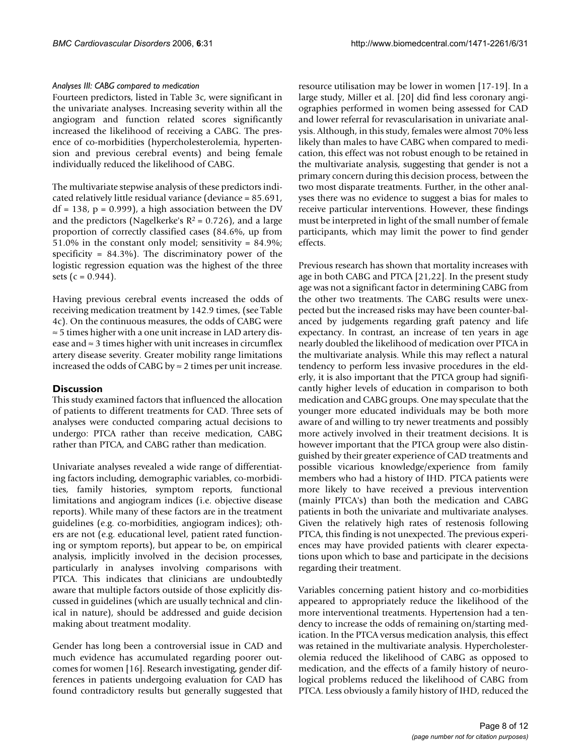### *Analyses III: CABG compared to medication*

Fourteen predictors, listed in Table 3c, were significant in the univariate analyses. Increasing severity within all the angiogram and function related scores significantly increased the likelihood of receiving a CABG. The presence of co-morbidities (hypercholesterolemia, hypertension and previous cerebral events) and being female individually reduced the likelihood of CABG.

The multivariate stepwise analysis of these predictors indicated relatively little residual variance (deviance = 85.691,  $df = 138$ ,  $p = 0.999$ , a high association between the DV and the predictors (Nagelkerke's  $R^2 = 0.726$ ), and a large proportion of correctly classified cases (84.6%, up from 51.0% in the constant only model; sensitivity = 84.9%; specificity = 84.3%). The discriminatory power of the logistic regression equation was the highest of the three sets ( $c = 0.944$ ).

Having previous cerebral events increased the odds of receiving medication treatment by 142.9 times, (see Table 4c). On the continuous measures, the odds of CABG were ≈ 5 times higher with a one unit increase in LAD artery disease and ≈ 3 times higher with unit increases in circumflex artery disease severity. Greater mobility range limitations increased the odds of CABG by  $\approx$  2 times per unit increase.

## **Discussion**

This study examined factors that influenced the allocation of patients to different treatments for CAD. Three sets of analyses were conducted comparing actual decisions to undergo: PTCA rather than receive medication, CABG rather than PTCA, and CABG rather than medication.

Univariate analyses revealed a wide range of differentiating factors including, demographic variables, co-morbidities, family histories, symptom reports, functional limitations and angiogram indices (i.e. objective disease reports). While many of these factors are in the treatment guidelines (e.g. co-morbidities, angiogram indices); others are not (e.g. educational level, patient rated functioning or symptom reports), but appear to be, on empirical analysis, implicitly involved in the decision processes, particularly in analyses involving comparisons with PTCA. This indicates that clinicians are undoubtedly aware that multiple factors outside of those explicitly discussed in guidelines (which are usually technical and clinical in nature), should be addressed and guide decision making about treatment modality.

Gender has long been a controversial issue in CAD and much evidence has accumulated regarding poorer outcomes for women [16]. Research investigating, gender differences in patients undergoing evaluation for CAD has found contradictory results but generally suggested that

resource utilisation may be lower in women [17-19]. In a large study, Miller et al. [20] did find less coronary angiographies performed in women being assessed for CAD and lower referral for revascularisation in univariate analysis. Although, in this study, females were almost 70% less likely than males to have CABG when compared to medication, this effect was not robust enough to be retained in the multivariate analysis, suggesting that gender is not a primary concern during this decision process, between the two most disparate treatments. Further, in the other analyses there was no evidence to suggest a bias for males to receive particular interventions. However, these findings must be interpreted in light of the small number of female participants, which may limit the power to find gender effects.

Previous research has shown that mortality increases with age in both CABG and PTCA [21,22]. In the present study age was not a significant factor in determining CABG from the other two treatments. The CABG results were unexpected but the increased risks may have been counter-balanced by judgements regarding graft patency and life expectancy. In contrast, an increase of ten years in age nearly doubled the likelihood of medication over PTCA in the multivariate analysis. While this may reflect a natural tendency to perform less invasive procedures in the elderly, it is also important that the PTCA group had significantly higher levels of education in comparison to both medication and CABG groups. One may speculate that the younger more educated individuals may be both more aware of and willing to try newer treatments and possibly more actively involved in their treatment decisions. It is however important that the PTCA group were also distinguished by their greater experience of CAD treatments and possible vicarious knowledge/experience from family members who had a history of IHD. PTCA patients were more likely to have received a previous intervention (mainly PTCA's) than both the medication and CABG patients in both the univariate and multivariate analyses. Given the relatively high rates of restenosis following PTCA, this finding is not unexpected. The previous experiences may have provided patients with clearer expectations upon which to base and participate in the decisions regarding their treatment.

Variables concerning patient history and co-morbidities appeared to appropriately reduce the likelihood of the more interventional treatments. Hypertension had a tendency to increase the odds of remaining on/starting medication. In the PTCA versus medication analysis, this effect was retained in the multivariate analysis. Hypercholesterolemia reduced the likelihood of CABG as opposed to medication, and the effects of a family history of neurological problems reduced the likelihood of CABG from PTCA. Less obviously a family history of IHD, reduced the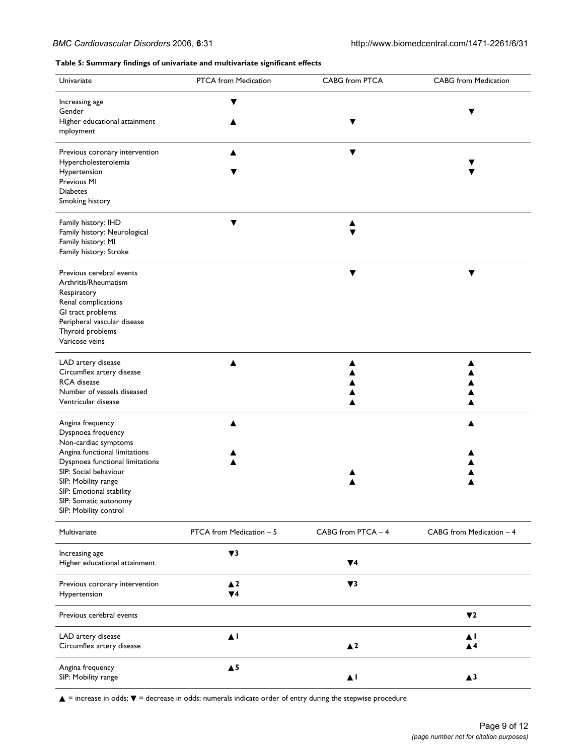#### **Table 5: Summary findings of univariate and multivariate significant effects**

| Univariate                                                                                                                                                                                                                                                       | PTCA from Medication           | CABG from PTCA     | <b>CABG</b> from Medication |
|------------------------------------------------------------------------------------------------------------------------------------------------------------------------------------------------------------------------------------------------------------------|--------------------------------|--------------------|-----------------------------|
| Increasing age<br>Gender<br>Higher educational attainment<br>mployment                                                                                                                                                                                           |                                |                    | ▼                           |
| Previous coronary intervention<br>Hypercholesterolemia<br>Hypertension<br>Previous MI<br><b>Diabetes</b><br>Smoking history                                                                                                                                      |                                | ▼                  | ▼                           |
| Family history: IHD<br>Family history: Neurological<br>Family history: MI<br>Family history: Stroke                                                                                                                                                              |                                | ▲                  |                             |
| Previous cerebral events<br>Arthritis/Rheumatism<br>Respiratory<br>Renal complications<br>GI tract problems<br>Peripheral vascular disease<br>Thyroid problems<br>Varicose veins                                                                                 |                                | ▼                  | ▼                           |
| LAD artery disease<br>Circumflex artery disease<br>RCA disease<br>Number of vessels diseased<br>Ventricular disease                                                                                                                                              | ▲                              |                    |                             |
| Angina frequency<br>Dyspnoea frequency<br>Non-cardiac symptoms<br>Angina functional limitations<br>Dyspnoea functional limitations<br>SIP: Social behaviour<br>SIP: Mobility range<br>SIP: Emotional stability<br>SIP: Somatic autonomy<br>SIP: Mobility control |                                |                    |                             |
| Multivariate                                                                                                                                                                                                                                                     | PTCA from Medication - 5       | CABG from PTCA - 4 | CABG from Medication - 4    |
| Increasing age<br>Higher educational attainment                                                                                                                                                                                                                  | $\blacktriangledown$ 3         | $\Psi$ 4           |                             |
| Previous coronary intervention<br>Hypertension                                                                                                                                                                                                                   | $\blacktriangle$ 2<br>$\Psi$ 4 | $\Psi$ 3           |                             |
| Previous cerebral events                                                                                                                                                                                                                                         |                                |                    | $\Psi$                      |
| LAD artery disease<br>Circumflex artery disease                                                                                                                                                                                                                  | $\blacktriangle$ l             | $\blacktriangle$ 2 | ▲Ⅰ<br>$\blacktriangle$ 4    |
| Angina frequency<br>SIP: Mobility range                                                                                                                                                                                                                          | $\blacktriangle$ 5             | $\blacktriangle$ 1 | $\triangle$ 3               |

▲ = increase in odds; ▼ = decrease in odds; numerals indicate order of entry during the stepwise procedure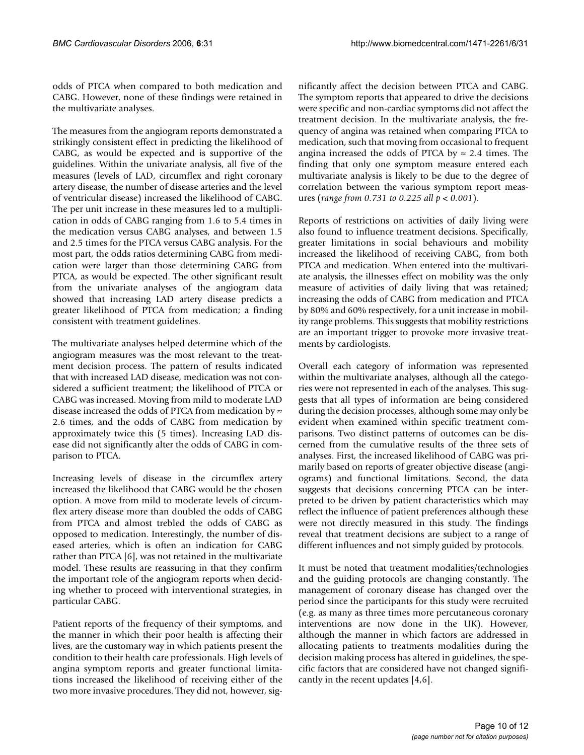odds of PTCA when compared to both medication and CABG. However, none of these findings were retained in the multivariate analyses.

The measures from the angiogram reports demonstrated a strikingly consistent effect in predicting the likelihood of CABG, as would be expected and is supportive of the guidelines. Within the univariate analysis, all five of the measures (levels of LAD, circumflex and right coronary artery disease, the number of disease arteries and the level of ventricular disease) increased the likelihood of CABG. The per unit increase in these measures led to a multiplication in odds of CABG ranging from 1.6 to 5.4 times in the medication versus CABG analyses, and between 1.5 and 2.5 times for the PTCA versus CABG analysis. For the most part, the odds ratios determining CABG from medication were larger than those determining CABG from PTCA, as would be expected. The other significant result from the univariate analyses of the angiogram data showed that increasing LAD artery disease predicts a greater likelihood of PTCA from medication; a finding consistent with treatment guidelines.

The multivariate analyses helped determine which of the angiogram measures was the most relevant to the treatment decision process. The pattern of results indicated that with increased LAD disease, medication was not considered a sufficient treatment; the likelihood of PTCA or CABG was increased. Moving from mild to moderate LAD disease increased the odds of PTCA from medication by  $\approx$ 2.6 times, and the odds of CABG from medication by approximately twice this (5 times). Increasing LAD disease did not significantly alter the odds of CABG in comparison to PTCA.

Increasing levels of disease in the circumflex artery increased the likelihood that CABG would be the chosen option. A move from mild to moderate levels of circumflex artery disease more than doubled the odds of CABG from PTCA and almost trebled the odds of CABG as opposed to medication. Interestingly, the number of diseased arteries, which is often an indication for CABG rather than PTCA [6], was not retained in the multivariate model. These results are reassuring in that they confirm the important role of the angiogram reports when deciding whether to proceed with interventional strategies, in particular CABG.

Patient reports of the frequency of their symptoms, and the manner in which their poor health is affecting their lives, are the customary way in which patients present the condition to their health care professionals. High levels of angina symptom reports and greater functional limitations increased the likelihood of receiving either of the two more invasive procedures. They did not, however, significantly affect the decision between PTCA and CABG. The symptom reports that appeared to drive the decisions were specific and non-cardiac symptoms did not affect the treatment decision. In the multivariate analysis, the frequency of angina was retained when comparing PTCA to medication, such that moving from occasional to frequent angina increased the odds of PTCA by  $\approx$  2.4 times. The finding that only one symptom measure entered each multivariate analysis is likely to be due to the degree of correlation between the various symptom report measures (*range from 0.731 to 0.225 all p < 0.001*).

Reports of restrictions on activities of daily living were also found to influence treatment decisions. Specifically, greater limitations in social behaviours and mobility increased the likelihood of receiving CABG, from both PTCA and medication. When entered into the multivariate analysis, the illnesses effect on mobility was the only measure of activities of daily living that was retained; increasing the odds of CABG from medication and PTCA by 80% and 60% respectively, for a unit increase in mobility range problems. This suggests that mobility restrictions are an important trigger to provoke more invasive treatments by cardiologists.

Overall each category of information was represented within the multivariate analyses, although all the categories were not represented in each of the analyses. This suggests that all types of information are being considered during the decision processes, although some may only be evident when examined within specific treatment comparisons. Two distinct patterns of outcomes can be discerned from the cumulative results of the three sets of analyses. First, the increased likelihood of CABG was primarily based on reports of greater objective disease (angiograms) and functional limitations. Second, the data suggests that decisions concerning PTCA can be interpreted to be driven by patient characteristics which may reflect the influence of patient preferences although these were not directly measured in this study. The findings reveal that treatment decisions are subject to a range of different influences and not simply guided by protocols.

It must be noted that treatment modalities/technologies and the guiding protocols are changing constantly. The management of coronary disease has changed over the period since the participants for this study were recruited (e.g. as many as three times more percutaneous coronary interventions are now done in the UK). However, although the manner in which factors are addressed in allocating patients to treatments modalities during the decision making process has altered in guidelines, the specific factors that are considered have not changed significantly in the recent updates [4,6].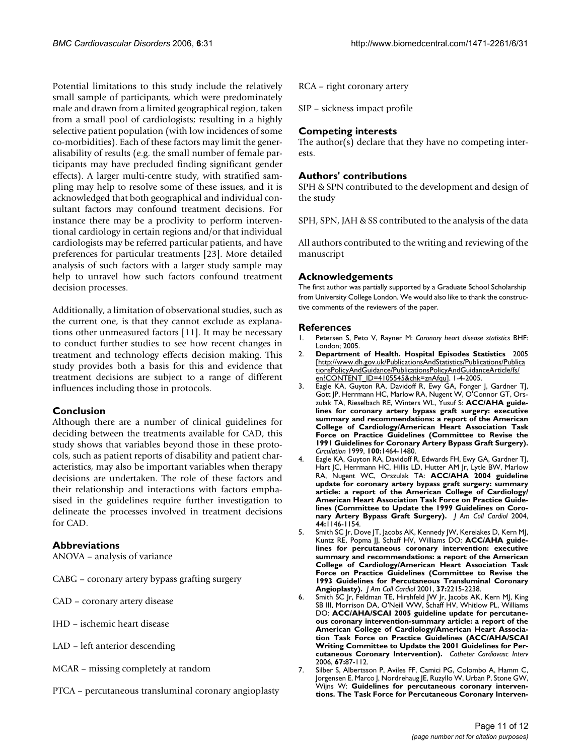Potential limitations to this study include the relatively small sample of participants, which were predominately male and drawn from a limited geographical region, taken from a small pool of cardiologists; resulting in a highly selective patient population (with low incidences of some co-morbidities). Each of these factors may limit the generalisability of results (e.g. the small number of female participants may have precluded finding significant gender effects). A larger multi-centre study, with stratified sampling may help to resolve some of these issues, and it is acknowledged that both geographical and individual consultant factors may confound treatment decisions. For instance there may be a proclivity to perform interventional cardiology in certain regions and/or that individual cardiologists may be referred particular patients, and have preferences for particular treatments [23]. More detailed analysis of such factors with a larger study sample may help to unravel how such factors confound treatment decision processes.

Additionally, a limitation of observational studies, such as the current one, is that they cannot exclude as explanations other unmeasured factors [11]. It may be necessary to conduct further studies to see how recent changes in treatment and technology effects decision making. This study provides both a basis for this and evidence that treatment decisions are subject to a range of different influences including those in protocols.

## **Conclusion**

Although there are a number of clinical guidelines for deciding between the treatments available for CAD, this study shows that variables beyond those in these protocols, such as patient reports of disability and patient characteristics, may also be important variables when therapy decisions are undertaken. The role of these factors and their relationship and interactions with factors emphasised in the guidelines require further investigation to delineate the processes involved in treatment decisions for CAD.

## **Abbreviations**

ANOVA – analysis of variance

- CABG coronary artery bypass grafting surgery
- CAD coronary artery disease
- IHD ischemic heart disease
- LAD left anterior descending
- MCAR missing completely at random
- PTCA percutaneous transluminal coronary angioplasty

RCA – right coronary artery

SIP – sickness impact profile

## **Competing interests**

The author(s) declare that they have no competing interests.

## **Authors' contributions**

SPH & SPN contributed to the development and design of the study

SPH, SPN, JAH & SS contributed to the analysis of the data

All authors contributed to the writing and reviewing of the manuscript

## **Acknowledgements**

The first author was partially supported by a Graduate School Scholarship from University College London. We would also like to thank the constructive comments of the reviewers of the paper.

## **References**

- 1. Petersen S, Peto V, Rayner M: *Coronary heart disease statistics* BHF: London; 2005.
- 2. **Department of Health. Hospital Episodes Statistics** 2005 [[http://www.dh.gov.uk/PublicationsAndStatistics/Publications/Publica](http://www.dh.gov.uk/PublicationsAndStatistics/Publications/PublicationsPolicyAndGuidance/PublicationsPolicyAndGuidanceArticle/fs/en?CONTENT_ID=4105545&chk=znAfqu) [tionsPolicyAndGuidance/PublicationsPolicyAndGuidanceArticle/fs/](http://www.dh.gov.uk/PublicationsAndStatistics/Publications/PublicationsPolicyAndGuidance/PublicationsPolicyAndGuidanceArticle/fs/en?CONTENT_ID=4105545&chk=znAfqu) [en?CONTENT\\_ID=4105545&chk=znAfqu](http://www.dh.gov.uk/PublicationsAndStatistics/Publications/PublicationsPolicyAndGuidance/PublicationsPolicyAndGuidanceArticle/fs/en?CONTENT_ID=4105545&chk=znAfqu)]. 1-4-2005.
- 3. Eagle KA, Guyton RA, Davidoff R, Ewy GA, Fonger J, Gardner TJ, Gott JP, Herrmann HC, Marlow RA, Nugent W, O'Connor GT, Orszulak TA, Rieselbach RE, Winters WL, Yusuf S: **[ACC/AHA guide](http://www.ncbi.nlm.nih.gov/entrez/query.fcgi?cmd=Retrieve&db=PubMed&dopt=Abstract&list_uids=10500052)[lines for coronary artery bypass graft surgery: executive](http://www.ncbi.nlm.nih.gov/entrez/query.fcgi?cmd=Retrieve&db=PubMed&dopt=Abstract&list_uids=10500052) summary and recommendations: a report of the American College of Cardiology/American Heart Association Task Force on Practice Guidelines (Committee to Revise the 1991 Guidelines for Coronary Artery Bypass Graft Surgery).** *Circulation* 1999, **100:**1464-1480.
- 4. Eagle KA, Guyton RA, Davidoff R, Edwards FH, Ewy GA, Gardner TJ, Hart JC, Herrmann HC, Hillis LD, Hutter AM Jr, Lytle BW, Marlow RA, Nugent WC, Orszulak TA: **ACC/AHA 2004 guideline update for coronary artery bypass graft surgery: summary article: a report of the American College of Cardiology/ American Heart Association Task Force on Practice Guidelines (Committee to Update the 1999 Guidelines on Coronary Artery Bypass Graft Surgery).** *J Am Coll Cardiol* 2004, **44:**1146-1154.
- 5. Smith SC Jr, Dove JT, Jacobs AK, Kennedy JW, Kereiakes D, Kern MJ, Kuntz RE, Popma JJ, Schaff HV, Williams DO: **[ACC/AHA guide](http://www.ncbi.nlm.nih.gov/entrez/query.fcgi?cmd=Retrieve&db=PubMed&dopt=Abstract&list_uids=11419905)[lines for percutaneous coronary intervention: executive](http://www.ncbi.nlm.nih.gov/entrez/query.fcgi?cmd=Retrieve&db=PubMed&dopt=Abstract&list_uids=11419905) summary and recommendations: a report of the American College of Cardiology/American Heart Association Task Force on Practice Guidelines (Committee to Revise the 1993 Guidelines for Percutaneous Transluminal Coronary [Angioplasty\).](http://www.ncbi.nlm.nih.gov/entrez/query.fcgi?cmd=Retrieve&db=PubMed&dopt=Abstract&list_uids=11419905)** *J Am Coll Cardiol* 2001, **37:**2215-2238.
- 6. Smith SC Jr, Feldman TE, Hirshfeld JW Jr, Jacobs AK, Kern MJ, King SB III, Morrison DA, O'Neill WW, Schaff HV, Whitlow PL, Williams DO: **[ACC/AHA/SCAI 2005 guideline update for percutane](http://www.ncbi.nlm.nih.gov/entrez/query.fcgi?cmd=Retrieve&db=PubMed&dopt=Abstract&list_uids=16355367)[ous coronary intervention-summary article: a report of the](http://www.ncbi.nlm.nih.gov/entrez/query.fcgi?cmd=Retrieve&db=PubMed&dopt=Abstract&list_uids=16355367) American College of Cardiology/American Heart Association Task Force on Practice Guidelines (ACC/AHA/SCAI Writing Committee to Update the 2001 Guidelines for Per[cutaneous Coronary Intervention\).](http://www.ncbi.nlm.nih.gov/entrez/query.fcgi?cmd=Retrieve&db=PubMed&dopt=Abstract&list_uids=16355367)** *Catheter Cardiovasc Interv* 2006, **67:**87-112.
- 7. Silber S, Albertsson P, Aviles FF, Camici PG, Colombo A, Hamm C, Jorgensen E, Marco J, Nordrehaug JE, Ruzyllo W, Urban P, Stone GW, Wijns W: **[Guidelines for percutaneous coronary interven](http://www.ncbi.nlm.nih.gov/entrez/query.fcgi?cmd=Retrieve&db=PubMed&dopt=Abstract&list_uids=15769784)[tions. The Task Force for Percutaneous Coronary Interven](http://www.ncbi.nlm.nih.gov/entrez/query.fcgi?cmd=Retrieve&db=PubMed&dopt=Abstract&list_uids=15769784)-**